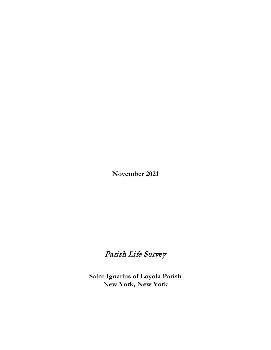**November 2021**

# Parish Life Survey

**Saint Ignatius of Loyola Parish New York, New York**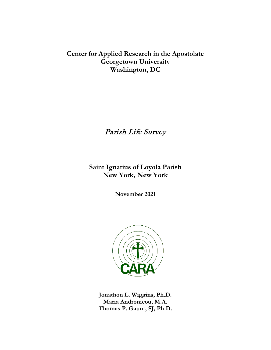# **Center for Applied Research in the Apostolate Georgetown University Washington, DC**

# Parish Life Survey

**Saint Ignatius of Loyola Parish New York, New York**

**November 2021**



**Jonathon L. Wiggins, Ph.D. Maria Andronicou, M.A. Thomas P. Gaunt, SJ, Ph.D.**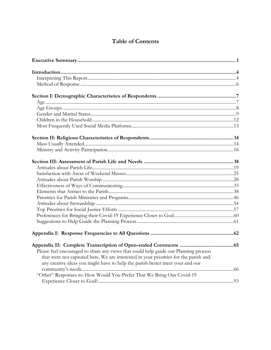## **Table of Contents**

| Please feel encouraged to share any views that could help guide our Planning process |  |
|--------------------------------------------------------------------------------------|--|
| that were not captured here. We are interested in your priorities for the parish and |  |
| any creative ideas you might have to help the parish better meet your and our        |  |
|                                                                                      |  |
| "Other" Responses to: How Would You Prefer That We Bring Our Covid-19                |  |
|                                                                                      |  |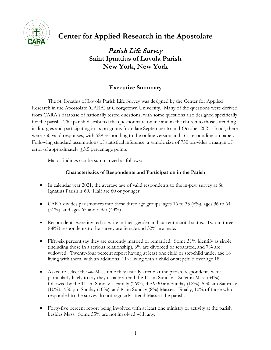

# **Center for Applied Research in the Apostolate**

Parish Life Survey **Saint Ignatius of Loyola Parish New York, New York**

## **Executive Summary**

<span id="page-6-0"></span>The St. Ignatius of Loyola Parish Life Survey was designed by the Center for Applied Research in the Apostolate (CARA) at Georgetown University. Many of the questions were derived from CARA's database of nationally tested questions, with some questions also designed specifically for the parish. The parish distributed the questionnaire online and in the church to those attending its liturgies and participating in its programs from late September to mid-October 2021. In all, there were 750 valid responses, with 589 responding to the online version and 161 responding on paper. Following standard assumptions of statistical inference, a sample size of 750 provides a margin of error of approximately  $\pm$ 3.5 percentage points

Major findings can be summarized as follows:

## **Characteristics of Respondents and Participation in the Parish**

- In calendar year 2021, the average age of valid respondents to the in-pew survey at St. Ignatius Parish is 60. Half are 60 or younger.
- CARA divides parishioners into these three age groups: ages 16 to 35 (6%), ages 36 to 64  $(51\%)$ , and ages 65 and older  $(43\%)$ .
- Respondents were invited to write in their gender and current marital status. Two in three (68%) respondents to the survey are female and 32% are male.
- Fifty-six percent say they are currently married or remarried. Some 31% identify as single (including those in a serious relationship), 6% are divorced or separated, and 7% are widowed. Twenty-four percent report having at least one child or stepchild under age 18 living with them, with an additional 11% living with a child or stepchild over age 18.
- Asked to select the *one* Mass time they usually attend at the parish, respondents were particularly likely to say they usually attend the 11 am Sunday – Solemn Mass (34%), followed by the 11 am Sunday – Family  $(16\%)$ , the 9:30 am Sunday  $(12\%)$ , 5:30 am Saturday  $(10\%)$ , 7:30 pm Sunday  $(10\%)$ , and 8 am Sunday  $(8\%)$  Masses. Finally,  $10\%$  of those who responded to the survey do not regularly attend Mass at the parish.
- Forty-five percent report being involved with at least one ministry or activity at the parish besides Mass. Some 55% are not involved with any.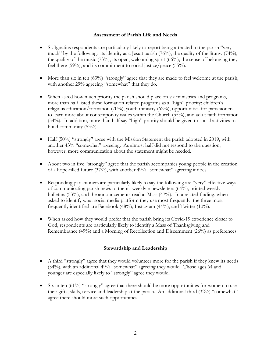#### **Assessment of Parish Life and Needs**

- St. Ignatius respondents are particularly likely to report being attracted to the parish "very much" by the following: its identity as a Jesuit parish (76%), the quality of the liturgy (74%), the quality of the music (73%), its open, welcoming spirit (66%), the sense of belonging they feel there (59%), and its commitment to social justice/peace (55%).
- More than six in ten (63%) "strongly" agree that they are made to feel welcome at the parish, with another 29% agreeing "somewhat" that they do.
- When asked how much priority the parish should place on six ministries and programs, more than half listed these formation-related programs as a "high" priority: children's religious education/formation (70%), youth ministry (62%), opportunities for parishioners to learn more about contemporary issues within the Church (55%), and adult faith formation (54%). In addition, more than half say "high" priority should be given to social activities to build community (53%).
- Half (50%) "strongly" agree with the Mission Statement the parish adopted in 2019, with another 43% "somewhat" agreeing. As almost half did not respond to the question, however, more communication about the statement might be needed.
- About two in five "strongly" agree that the parish accompanies young people in the creation of a hope-filled future (37%), with another 49% "somewhat" agreeing it does.
- Responding parishioners are particularly likely to say the following are "very" effective ways of communicating parish news to them: weekly e-newsletters (64%), printed weekly bulletins (53%), and the announcements read at Mass (47%). In a related finding, when asked to identify what social media platform they use most frequently, the three most frequently identified are Facebook (48%), Instagram (44%), and Twitter (10%).
- When asked how they would prefer that the parish bring its Covid-19 experience closer to God, respondents are particularly likely to identify a Mass of Thanksgiving and Remembrance (49%) and a Morning of Recollection and Discernment (26%) as preferences.

#### **Stewardship and Leadership**

- A third "strongly" agree that they would volunteer more for the parish if they knew its needs (34%), with an additional 49% "somewhat" agreeing they would. Those ages 64 and younger are especially likely to "strongly" agree they would.
- Six in ten  $(61%)$  "strongly" agree that there should be more opportunities for women to use their gifts, skills, service and leadership at the parish. An additional third (32%) "somewhat" agree there should more such opportunities.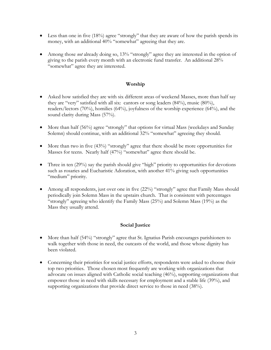- Less than one in five  $(18\%)$  agree "strongly" that they are aware of how the parish spends its money, with an additional 40% "somewhat" agreeing that they are.
- Among those *not* already doing so, 13% "strongly" agree they are interested in the option of giving to the parish every month with an electronic fund transfer. An additional 28% "somewhat" agree they are interested.

### **Worship**

- Asked how satisfied they are with six different areas of weekend Masses, more than half say they are "very" satisfied with all six: cantors or song leaders (84%), music (80%), readers/lectors (70%), homilies (64%), joyfulness of the worship experience (64%), and the sound clarity during Mass (57%).
- More than half (56%) agree "strongly" that options for virtual Mass (weekdays and Sunday Solemn) should continue, with an additional 32% "somewhat" agreeing they should.
- More than two in five (43%) "strongly" agree that there should be more opportunities for Masses for teens. Nearly half (47%) "somewhat" agree there should be.
- Three in ten (29%) say the parish should give "high" priority to opportunities for devotions such as rosaries and Eucharistic Adoration, with another 41% giving such opportunities "medium" priority.
- Among all respondents, just over one in five (22%) "strongly" agree that Family Mass should periodically join Solemn Mass in the upstairs church. That is consistent with percentages "strongly" agreeing who identify the Family Mass (25%) and Solemn Mass (19%) as the Mass they usually attend.

## **Social Justice**

- More than half (54%) "strongly" agree that St. Ignatius Parish encourages parishioners to walk together with those in need, the outcasts of the world, and those whose dignity has been violated.
- Concerning their priorities for social justice efforts, respondents were asked to choose their top two priorities. Those chosen most frequently are working with organizations that advocate on issues aligned with Catholic social teaching (46%), supporting organizations that empower those in need with skills necessary for employment and a stable life (39%), and supporting organizations that provide direct service to those in need (38%).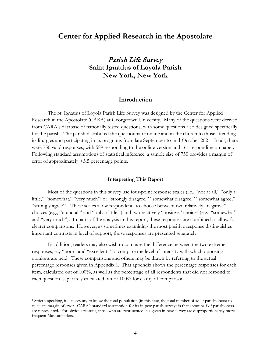## **Center for Applied Research in the Apostolate**

Parish Life Survey **Saint Ignatius of Loyola Parish New York, New York**

## **Introduction**

<span id="page-9-0"></span>The St. Ignatius of Loyola Parish Life Survey was designed by the Center for Applied Research in the Apostolate (CARA) at Georgetown University. Many of the questions were derived from CARA's database of nationally tested questions, with some questions also designed specifically for the parish. The parish distributed the questionnaire online and in the church to those attending its liturgies and participating in its programs from late September to mid-October 2021. In all, there were 750 valid responses, with 589 responding to the online version and 161 responding on paper. Following standard assumptions of statistical inference, a sample size of 750 provides a margin of error of approximately  $\pm$ 3.5 percentage points.<sup>[1](#page-9-2)</sup>

#### **Interpreting This Report**

<span id="page-9-1"></span>Most of the questions in this survey use four-point response scales (i.e., "not at all," "only a little," "somewhat," "very much"; or "strongly disagree," "somewhat disagree," "somewhat agree," "strongly agree"). These scales allow respondents to choose between two relatively "negative" choices (e.g., "not at all" and "only a little,") and two relatively "positive" choices (e.g., "somewhat" and "very much"). In parts of the analysis in this report, these responses are combined to allow for clearer comparisons. However, as sometimes examining the most positive response distinguishes important contrasts in level of support, those responses are presented separately.

In addition, readers may also wish to compare the difference between the two extreme responses, say "poor" and "excellent," to compare the level of intensity with which opposing opinions are held. These comparisons and others may be drawn by referring to the actual percentage responses given in Appendix I. That appendix shows the percentage responses for each item, calculated out of 100%, as well as the percentage of all respondents that did not respond to each question, separately calculated out of 100% for clarity of comparison.

<span id="page-9-2"></span> <sup>1</sup> Strictly speaking, it is necessary to know the total population (in this case, the total number of adult parishioners) to calculate margin of error. CARA's standard assumption for its in-pew parish surveys is that about half of parishioners are represented. For obvious reasons, those who are represented in a given in-pew survey are disproportionately more frequent Mass attenders.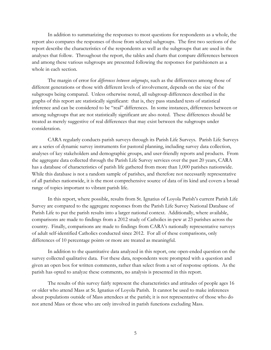In addition to summarizing the responses to most questions for respondents as a whole, the report also compares the responses of those from selected subgroups. The first two sections of the report describe the characteristics of the respondents as well as the subgroups that are used in the analyses that follow. Throughout the report, the tables and charts that compare differences between and among these various subgroups are presented following the responses for parishioners as a whole in each section.

The margin of error for *differences between subgroups*, such as the differences among those of different generations or those with different levels of involvement, depends on the size of the subgroups being compared. Unless otherwise noted, all subgroup differences described in the graphs of this report are statistically significant: that is, they pass standard tests of statistical inference and can be considered to be "real" differences. In some instances, differences between or among subgroups that are not statistically significant are also noted. These differences should be treated as merely suggestive of real differences that may exist between the subgroups under consideration.

CARA regularly conducts parish surveys through its Parish Life Surveys. Parish Life Surveys are a series of dynamic survey instruments for pastoral planning, including survey data collection, analyses of key stakeholders and demographic groups, and user-friendly reports and products. From the aggregate data collected through the Parish Life Survey services over the past 20 years, CARA has a database of characteristics of parish life gathered from more than 1,000 parishes nationwide. While this database is not a random sample of parishes, and therefore not necessarily representative of all parishes nationwide, it is the most comprehensive source of data of its kind and covers a broad range of topics important to vibrant parish life.

In this report, where possible, results from St. Ignatius of Loyola Parish's current Parish Life Survey are compared to the aggregate responses from the Parish Life Survey National Database of Parish Life to put the parish results into a larger national context. Additionally, where available, comparisons are made to findings from a 2012 study of Catholics in-pew at 23 parishes across the country. Finally, comparisons are made to findings from CARA's nationally representative surveys of adult self-identified Catholics conducted since 2012. For all of these comparisons, only differences of 10 percentage points or more are treated as meaningful.

In addition to the quantitative data analyzed in this report, one open-ended question on the survey collected qualitative data. For these data, respondents were prompted with a question and given an open box for written comments, rather than select from a set of response options. As the parish has opted to analyze these comments, no analysis is presented in this report.

The results of this survey fairly represent the characteristics and attitudes of people ages 16 or older who attend Mass at St. Ignatius of Loyola Parish. It cannot be used to make inferences about populations outside of Mass attendees at the parish; it is not representative of those who do not attend Mass or those who are only involved in parish functions excluding Mass.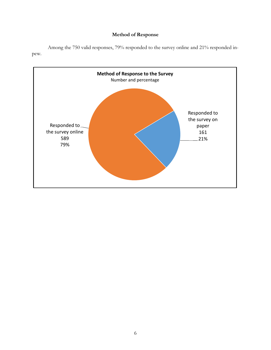## **Method of Response**



<span id="page-11-0"></span>Among the 750 valid responses, 79% responded to the survey online and 21% responded inpew.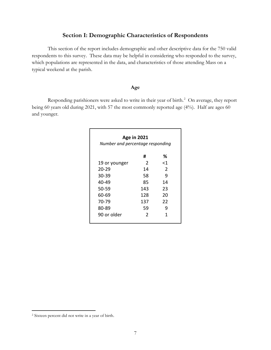## **Section I: Demographic Characteristics of Respondents**

<span id="page-12-0"></span>This section of the report includes demographic and other descriptive data for the 750 valid respondents to this survey. These data may be helpful in considering who responded to the survey, which populations are represented in the data, and characteristics of those attending Mass on a typical weekend at the parish.

## **Age**

<span id="page-12-1"></span>Responding parishioners were asked to write in their year of birth.<sup>[2](#page-12-2)</sup> On average, they report being 60 years old during 2021, with 57 the most commonly reported age (4%). Half are ages 60 and younger.

| <b>Age in 2021</b><br>Number and percentage responding |     |        |  |
|--------------------------------------------------------|-----|--------|--|
|                                                        | #   | ℅      |  |
| 19 or younger                                          | 2   | ${<}1$ |  |
| $20 - 29$                                              | 14  | 2      |  |
| 30-39                                                  | 58  | 9      |  |
| 40-49                                                  | 85  | 14     |  |
| 50-59                                                  | 143 | 23     |  |
| 60-69                                                  | 128 | 20     |  |
| 70-79                                                  | 137 | 22     |  |
| 80-89                                                  | 59  | 9      |  |
| 90 or older                                            | 2   | 1      |  |

<span id="page-12-2"></span> <sup>2</sup> Sixteen percent did not write in a year of birth.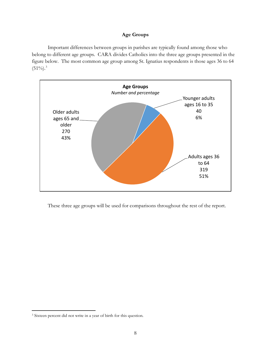#### **Age Groups**

<span id="page-13-0"></span>Important differences between groups in parishes are typically found among those who belong to different age groups. CARA divides Catholics into the three age groups presented in the figure below. The most common age group among St. Ignatius respondents is those ages 36 to 64  $(51\%)$ <sup>[3](#page-13-1)</sup>



These three age groups will be used for comparisons throughout the rest of the report.

<span id="page-13-1"></span> <sup>3</sup> Sixteen percent did not write in a year of birth for this question.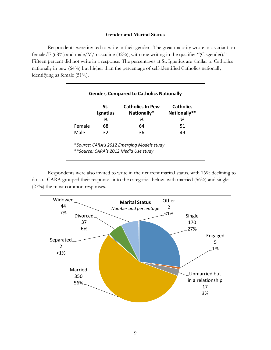#### **Gender and Marital Status**

<span id="page-14-0"></span>Respondents were invited to write in their gender. The great majority wrote in a variant on female/F (68%) and male/M/masculine (32%), with one writing in the qualifier "(Cisgender)." Fifteen percent did not write in a response. The percentages at St. Ignatius are similar to Catholics nationally in pew (64%) but higher than the percentage of self-identified Catholics nationally identifying as female (51%).

|        | St.<br><b>Ignatius</b> | <b>Catholics In Pew</b><br>Nationally* | <b>Catholics</b><br>Nationally** |
|--------|------------------------|----------------------------------------|----------------------------------|
|        | ℅                      | ℅                                      | %                                |
| Female | 68                     | 64                                     | 51                               |
| Male   | 32                     | 36                                     | 49                               |

Respondents were also invited to write in their current marital status, with 16% declining to do so. CARA grouped their responses into the categories below, with married (56%) and single (27%) the most common responses.

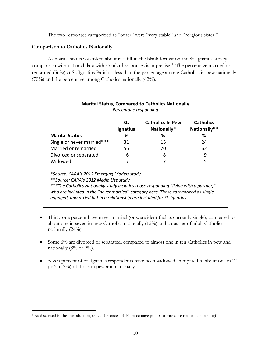The two responses categorized as "other" were "very stable" and "religious sister."

### **Comparison to Catholics Nationally**

As marital status was asked about in a fill-in-the blank format on the St. Ignatius survey, comparison with national data with standard responses is imprecise.<sup>[4](#page-15-0)</sup> The percentage married or remarried (56%) at St. Ignatius Parish is less than the percentage among Catholics in-pew nationally (70%) and the percentage among Catholics nationally (62%).

|                                                                                                                                                                | Percentage responding<br>St. | <b>Marital Status, Compared to Catholics Nationally</b><br><b>Catholics In Pew</b> | <b>Catholics</b> |
|----------------------------------------------------------------------------------------------------------------------------------------------------------------|------------------------------|------------------------------------------------------------------------------------|------------------|
|                                                                                                                                                                | <b>Ignatius</b>              | Nationally*                                                                        | Nationally**     |
| <b>Marital Status</b>                                                                                                                                          | ℅                            | ℅                                                                                  | ℅                |
| Single or never married***                                                                                                                                     | 31                           | 15                                                                                 | 24               |
| Married or remarried                                                                                                                                           | 56                           | 70                                                                                 | 62               |
| Divorced or separated                                                                                                                                          | 6                            | 8                                                                                  | 9                |
| Widowed                                                                                                                                                        | 7                            | 7                                                                                  | 5                |
| *Source: CARA's 2012 Emerging Models study                                                                                                                     |                              |                                                                                    |                  |
| **Source: CARA's 2012 Media Use study                                                                                                                          |                              |                                                                                    |                  |
| ***The Catholics Nationally study includes those responding "living with a partner,"                                                                           |                              |                                                                                    |                  |
| who are included in the "never married" category here. Those categorized as single,<br>engaged, unmarried but in a relationship are included for St. Ignatius. |                              |                                                                                    |                  |

- Thirty-one percent have never married (or were identified as currently single), compared to about one in seven in-pew Catholics nationally (15%) and a quarter of adult Catholics nationally (24%).
- Some 6% are divorced or separated, compared to almost one in ten Catholics in pew and nationally  $(8\% \text{ or } 9\%).$
- Seven percent of St. Ignatius respondents have been widowed, compared to about one in 20 (5% to 7%) of those in pew and nationally.

<span id="page-15-0"></span> <sup>4</sup> As discussed in the Introduction, only differences of 10 percentage points or more are treated as meaningful.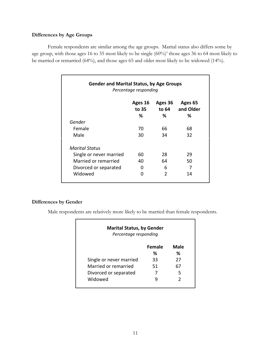## **Differences by Age Groups**

Female respondents are similar among the age groups. Marital status also differs some by age group, with those ages 16 to 35 most likely to be single (60%)' those ages 36 to 64 most likely to be married or remarried (64%), and those ages 65 and older most likely to be widowed (14%).

| <b>Gender and Marital Status, by Age Groups</b><br>Percentage responding |                       |                       |                           |
|--------------------------------------------------------------------------|-----------------------|-----------------------|---------------------------|
|                                                                          | Ages 16<br>to 35<br>% | Ages 36<br>to 64<br>% | Ages 65<br>and Older<br>% |
| Gender                                                                   |                       |                       |                           |
| Female                                                                   | 70                    | 66                    | 68                        |
| Male                                                                     | 30                    | 34                    | 32                        |
| Marital Status                                                           |                       |                       |                           |
| Single or never married                                                  | 60                    | 28                    | 29                        |
| Married or remarried                                                     | 40                    | 64                    | 50                        |
| Divorced or separated                                                    | O                     | 6                     | 7                         |
| Widowed                                                                  | ŋ                     | $\mathfrak z$         | 14                        |

### **Differences by Gender**

Male respondents are relatively more likely to be married than female respondents.

| <b>Marital Status, by Gender</b><br>Percentage responding |               |               |
|-----------------------------------------------------------|---------------|---------------|
|                                                           | <b>Female</b> | Male          |
|                                                           | ℅             | ℅             |
| Single or never married                                   | 33            | 27            |
| Married or remarried                                      | 51            | 67            |
| Divorced or separated                                     |               | 5             |
| Widowed                                                   |               | $\mathcal{P}$ |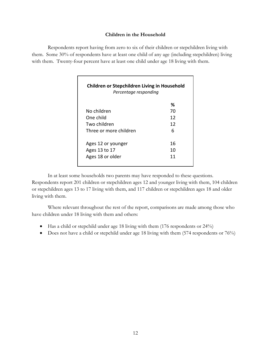#### **Children in the Household**

<span id="page-17-0"></span>Respondents report having from zero to six of their children or stepchildren living with them. Some 30% of respondents have at least one child of any age (including stepchildren) living with them. Twenty-four percent have at least one child under age 18 living with them.

| Children or Stepchildren Living in Household<br>Percentage responding |    |  |  |
|-----------------------------------------------------------------------|----|--|--|
|                                                                       | ℅  |  |  |
| No children                                                           | 70 |  |  |
| One child                                                             | 12 |  |  |
| Two children                                                          | 12 |  |  |
| Three or more children                                                | 6  |  |  |
| Ages 12 or younger                                                    | 16 |  |  |
| Ages 13 to 17                                                         | 10 |  |  |
| Ages 18 or older                                                      | 11 |  |  |

In at least some households two parents may have responded to these questions. Respondents report 201 children or stepchildren ages 12 and younger living with them, 104 children or stepchildren ages 13 to 17 living with them, and 117 children or stepchildren ages 18 and older living with them.

Where relevant throughout the rest of the report, comparisons are made among those who have children under 18 living with them and others:

- Has a child or stepchild under age 18 living with them (176 respondents or 24%)
- Does not have a child or stepchild under age 18 living with them (574 respondents or 76%)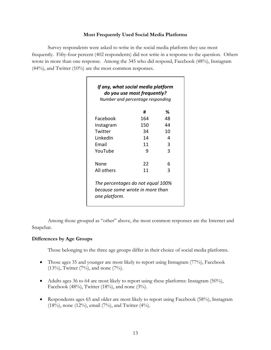#### **Most Frequently Used Social Media Platforms**

<span id="page-18-0"></span>Survey respondents were asked to write in the social media platform they use most frequently. Fifty-four percent (402 respondents) did not write in a response to the question. Others wrote in more than one response. Among the 345 who did respond, Facebook (48%), Instagram (44%), and Twitter (10%) are the most common responses.

|            | #   | ℅  |
|------------|-----|----|
| Facebook   | 164 | 48 |
| Instagram  | 150 | 44 |
| Twitter    | 34  | 10 |
| LinkedIn   | 14  | 4  |
| Email      | 11  | 3  |
| YouTube    | q   | 3  |
| None       | 22  | 6  |
| All others | 11  | 3  |

Among those grouped as "other" above, the most common responses are the Internet and Snapchat.

#### **Differences by Age Groups**

Those belonging to the three age groups differ in their choice of social media platforms.

- Those ages 35 and younger are most likely to report using Instagram (77%), Facebook  $(13\%)$ , Twitter  $(7\%)$ , and none  $(7\%)$ .
- Adults ages 36 to 64 are most likely to report using these platforms: Instagram (50%), Facebook (48%), Twitter (18%), and none (3%).
- Respondents ages 65 and older are most likely to report using Facebook (58%), Instagram (18%), none (12%), email (7%), and Twitter (4%).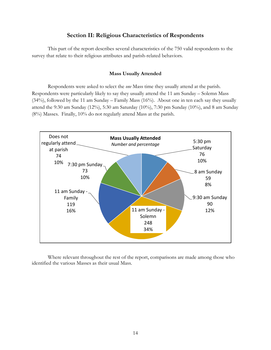## **Section II: Religious Characteristics of Respondents**

<span id="page-19-0"></span>This part of the report describes several characteristics of the 750 valid respondents to the survey that relate to their religious attributes and parish-related behaviors.

#### **Mass Usually Attended**

<span id="page-19-1"></span>Respondents were asked to select the *one* Mass time they usually attend at the parish. Respondents were particularly likely to say they usually attend the 11 am Sunday – Solemn Mass (34%), followed by the 11 am Sunday – Family Mass (16%). About one in ten each say they usually attend the 9:30 am Sunday (12%), 5:30 am Saturday (10%), 7:30 pm Sunday (10%), and 8 am Sunday (8%) Masses. Finally, 10% do not regularly attend Mass at the parish.



Where relevant throughout the rest of the report, comparisons are made among those who identified the various Masses as their usual Mass.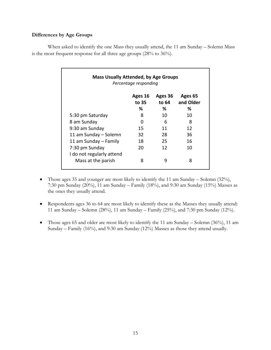## **Differences by Age Groups**

When asked to identify the one Mass they usually attend, the 11 am Sunday – Solemn Mass is the most frequent response for all three age groups (28% to 36%).

| <b>Mass Usually Attended, by Age Groups</b><br>Percentage responding |                  |                  |                      |
|----------------------------------------------------------------------|------------------|------------------|----------------------|
|                                                                      | Ages 16<br>to 35 | Ages 36<br>to 64 | Ages 65<br>and Older |
|                                                                      | %                | %                | %                    |
| 5:30 pm Saturday                                                     | 8                | 10               | 10                   |
| 8 am Sunday                                                          | 0                | 6                | 8                    |
| 9:30 am Sunday                                                       | 15               | 11               | 12                   |
| 11 am Sunday - Solemn                                                | 32               | 28               | 36                   |
| 11 am Sunday - Family                                                | 18               | 25               | 16                   |
| 7:30 pm Sunday                                                       | 20               | 12               | 10                   |
| I do not regularly attend<br>Mass at the parish                      | 8                | q                | 8                    |

- Those ages 35 and younger are most likely to identify the 11 am Sunday Solemn (32%), 7:30 pm Sunday (20%), 11 am Sunday – Family (18%), and 9:30 am Sunday (15%) Masses as the ones they usually attend.
- Respondents ages 36 to 64 are most likely to identify these as the Masses they usually attend: 11 am Sunday – Solemn (28%), 11 am Sunday – Family (25%), and 7:30 pm Sunday (12%).
- Those ages 65 and older are most likely to identify the 11 am Sunday Solemn (36%), 11 am Sunday – Family (16%), and 9:30 am Sunday (12%) Masses as those they attend usually.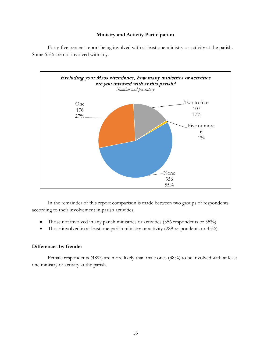#### **Ministry and Activity Participation**



<span id="page-21-0"></span>Forty-five percent report being involved with at least one ministry or activity at the parish. Some 55% are not involved with any.

In the remainder of this report comparison is made between two groups of respondents according to their involvement in parish activities:

- Those not involved in any parish ministries or activities (356 respondents or 55%)
- Those involved in at least one parish ministry or activity (289 respondents or 45%)

## **Differences by Gender**

Female respondents (48%) are more likely than male ones (38%) to be involved with at least one ministry or activity at the parish.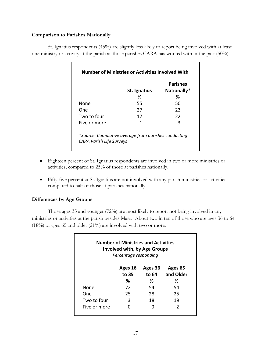## **Comparison to Parishes Nationally**

St. Ignatius respondents (45%) are slightly less likely to report being involved with at least one ministry or activity at the parish as those parishes CARA has worked with in the past (50%).

|                                 | St. Ignatius                                         | <b>Parishes</b><br>Nationally* |
|---------------------------------|------------------------------------------------------|--------------------------------|
|                                 | ℅                                                    | ℅                              |
| None                            | 55                                                   | 50                             |
| One                             | 27                                                   | 23                             |
| Two to four                     | 17                                                   | 22                             |
| Five or more                    | 1                                                    | 3                              |
| <b>CARA Parish Life Surveys</b> | *Source: Cumulative average from parishes conducting |                                |

- Eighteen percent of St. Ignatius respondents are involved in two or more ministries or activities, compared to 25% of those at parishes nationally.
- Fifty-five percent at St. Ignatius are not involved with any parish ministries or activities, compared to half of those at parishes nationally.

## **Differences by Age Groups**

Those ages 35 and younger (72%) are most likely to report not being involved in any ministries or activities at the parish besides Mass. About two in ten of those who are ages 36 to 64 (18%) or ages 65 and older (21%) are involved with two or more.

| <b>Number of Ministries and Activities</b><br><b>Involved with, by Age Groups</b><br>Percentage responding |                  |                  |                      |  |
|------------------------------------------------------------------------------------------------------------|------------------|------------------|----------------------|--|
|                                                                                                            | Ages 16<br>to 35 | Ages 36<br>to 64 | Ages 65<br>and Older |  |
|                                                                                                            | ℅                | %                | ℅                    |  |
| None                                                                                                       | 72               | 54               | 54                   |  |
| One                                                                                                        | 25               | 28               | 25                   |  |
| Two to four                                                                                                | 3                | 18               | 19                   |  |
| Five or more                                                                                               |                  |                  | 2                    |  |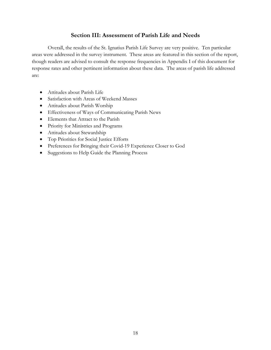## **Section III: Assessment of Parish Life and Needs**

<span id="page-23-0"></span>Overall, the results of the St. Ignatius Parish Life Survey are very positive. Ten particular areas were addressed in the survey instrument. These areas are featured in this section of the report, though readers are advised to consult the response frequencies in Appendix I of this document for response rates and other pertinent information about these data. The areas of parish life addressed are:

- Attitudes about Parish Life
- Satisfaction with Areas of Weekend Masses
- Attitudes about Parish Worship
- Effectiveness of Ways of Communicating Parish News
- Elements that Attract to the Parish
- Priority for Ministries and Programs
- Attitudes about Stewardship
- Top Priorities for Social Justice Efforts
- Preferences for Bringing their Covid-19 Experience Closer to God
- Suggestions to Help Guide the Planning Process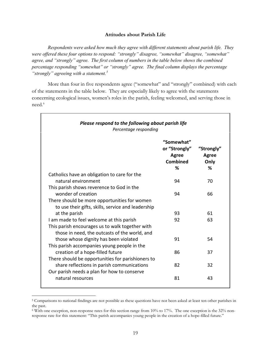#### **Attitudes about Parish Life**

<span id="page-24-0"></span>*Respondents were asked how much they agree with different statements about parish life. They were offered these four options to respond: "strongly" disagree, "somewhat" disagree, "somewhat" agree, and "strongly" agree. The first column of numbers in the table below shows the combined percentage responding "somewhat" or "strongly" agree. The final column displays the percentage "strongly" agreeing with a statement.[5](#page-24-1)*

More than four in five respondents agree ("somewhat" and "strongly" combined) with each of the statements in the table below. They are especially likely to agree with the statements concerning ecological issues, women's roles in the parish, feeling welcomed, and serving those in need.<sup>[6](#page-24-2)</sup>

| Please respond to the following about parish life<br>Percentage responding                         |                                                                |                                    |  |  |
|----------------------------------------------------------------------------------------------------|----------------------------------------------------------------|------------------------------------|--|--|
|                                                                                                    | "Somewhat"<br>or "Strongly"<br><b>Agree</b><br><b>Combined</b> | "Strongly"<br><b>Agree</b><br>Only |  |  |
| Catholics have an obligation to care for the                                                       | %                                                              | %                                  |  |  |
| natural environment                                                                                | 94                                                             | 70                                 |  |  |
| This parish shows reverence to God in the<br>wonder of creation                                    | 94                                                             | 66                                 |  |  |
| There should be more opportunities for women<br>to use their gifts, skills, service and leadership |                                                                |                                    |  |  |
| at the parish                                                                                      | 93                                                             | 61                                 |  |  |
| I am made to feel welcome at this parish                                                           | 92                                                             | 63                                 |  |  |
| This parish encourages us to walk together with<br>those in need, the outcasts of the world, and   |                                                                |                                    |  |  |
| those whose dignity has been violated<br>This parish accompanies young people in the               | 91                                                             | 54                                 |  |  |
| creation of a hope-filled future                                                                   | 86                                                             | 37                                 |  |  |
| There should be opportunities for parishioners to                                                  |                                                                |                                    |  |  |
| share reflections in parish communications                                                         | 82                                                             | 32                                 |  |  |
| Our parish needs a plan for how to conserve<br>natural resources                                   | 81                                                             | 43                                 |  |  |

<span id="page-24-1"></span> <sup>5</sup> Comparisons to national findings are not possible as these questions have not been asked at least ten other parishes in the past.

<span id="page-24-2"></span><sup>6</sup> With one exception, non-response rates for this section range from 10% to 17%. The one exception is the 32% nonresponse rate for this statement: "This parish accompanies young people in the creation of a hope-filled future."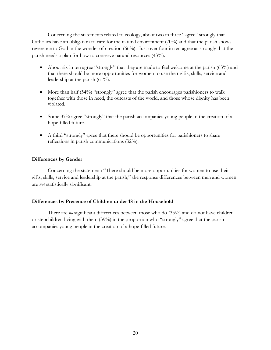Concerning the statements related to ecology, about two in three "agree" strongly that Catholics have an obligation to care for the natural environment (70%) and that the parish shows reverence to God in the wonder of creation (66%). Just over four in ten agree as strongly that the parish needs a plan for how to conserve natural resources (43%).

- About six in ten agree "strongly" that they are made to feel welcome at the parish (63%) and that there should be more opportunities for women to use their gifts, skills, service and leadership at the parish (61%).
- More than half (54%) "strongly" agree that the parish encourages parishioners to walk together with those in need, the outcasts of the world, and those whose dignity has been violated.
- Some 37% agree "strongly" that the parish accompanies young people in the creation of a hope-filled future.
- A third "strongly" agree that there should be opportunities for parishioners to share reflections in parish communications (32%).

#### **Differences by Gender**

Concerning the statement: "There should be more opportunities for women to use their gifts, skills, service and leadership at the parish," the response differences between men and women are *not* statistically significant.

#### **Differences by Presence of Children under 18 in the Household**

There are *no* significant differences between those who do (35%) and do not have children or stepchildren living with them (39%) in the proportion who "strongly" agree that the parish accompanies young people in the creation of a hope-filled future.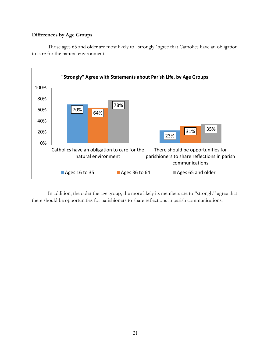#### **Differences by Age Groups**

Those ages 65 and older are most likely to "strongly" agree that Catholics have an obligation to care for the natural environment.



In addition, the older the age group, the more likely its members are to "strongly" agree that there should be opportunities for parishioners to share reflections in parish communications.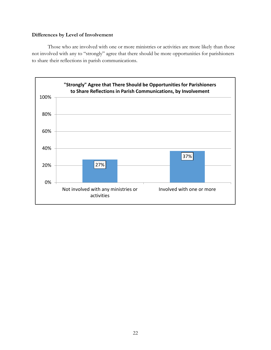## **Differences by Level of Involvement**

Those who are involved with one or more ministries or activities are more likely than those not involved with any to "strongly" agree that there should be more opportunities for parishioners to share their reflections in parish communications.

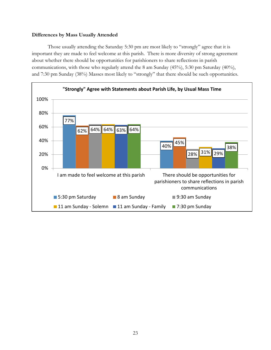#### **Differences by Mass Usually Attended**

Those usually attending the Saturday 5:30 pm are most likely to "strongly" agree that it is important they are made to feel welcome at this parish. There is more diversity of strong agreement about whether there should be opportunities for parishioners to share reflections in parish communications, with those who regularly attend the 8 am Sunday (45%), 5:30 pm Saturday (40%), and 7:30 pm Sunday (38%) Masses most likely to "strongly" that there should be such opportunities.

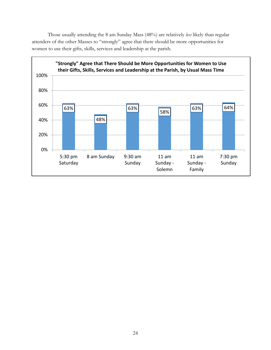Those usually attending the 8 am Sunday Mass (48%) are relatively *less* likely than regular attenders of the other Masses to "strongly" agree that there should be more opportunities for women to use their gifts, skills, services and leadership at the parish.

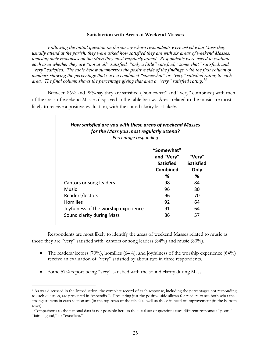#### **Satisfaction with Areas of Weekend Masses**

<span id="page-30-0"></span>*Following the initial question on the survey where respondents were asked what Mass they usually attend at the parish, they were asked how satisfied they are with six areas of weekend Masses, focusing their responses on the Mass they most regularly attend. Respondents were asked to evaluate each area whether they are "not at all" satisfied, "only a little" satisfied, "somewhat" satisfied, and "very" satisfied. The table below summarizes the positive side of the findings, with the first column of numbers showing the percentage that gave a combined "somewhat" or "very" satisfied rating to each area. The final column shows the percentage giving that area a "very" satisfied rating.[7](#page-30-1)[8](#page-30-2)* 

Between 86% and 98% say they are satisfied ("somewhat" and "very" combined) with each of the areas of weekend Masses displayed in the table below. Areas related to the music are most likely to receive a positive evaluation, with the sound clarity least likely.

| for the Mass you most regularly attend?<br>Percentage responding |                                                          |                                    |
|------------------------------------------------------------------|----------------------------------------------------------|------------------------------------|
|                                                                  | "Somewhat"<br>and "Very"<br><b>Satisfied</b><br>Combined | "Very"<br><b>Satisfied</b><br>Only |
|                                                                  | %                                                        | ℅                                  |
| Cantors or song leaders                                          | 98                                                       | 84                                 |
| Music                                                            | 96                                                       | 80                                 |
| Readers/lectors                                                  | 96                                                       | 70                                 |
| <b>Homilies</b>                                                  | 92                                                       | 64                                 |
| Joyfulness of the worship experience                             | 91                                                       | 64                                 |
| Sound clarity during Mass                                        | 86                                                       | 57                                 |

Respondents are most likely to identify the areas of weekend Masses related to music as those they are "very" satisfied with: cantors or song leaders (84%) and music (80%).

- The readers/lectors (70%), homilies (64%), and joyfulness of the worship experience (64%) receive an evaluation of "very" satisfied by about two in three respondents.
- Some 57% report being "very" satisfied with the sound clarity during Mass.

<span id="page-30-1"></span> <sup>7</sup> As was discussed in the Introduction, the complete record of each response, including the percentages not responding to each question, are presented in Appendix I. Presenting just the positive side allows for readers to see both what the strongest items in each section are (in the top rows of the table) as well as those in need of improvement (in the bottom rows).

<span id="page-30-2"></span><sup>8</sup> Comparisons to the national data is not possible here as the usual set of questions uses different responses: "poor," "fair," "good," or "excellent."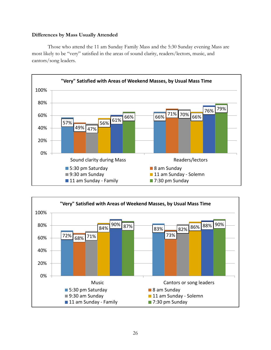#### **Differences by Mass Usually Attended**

Those who attend the 11 am Sunday Family Mass and the 5:30 Sunday evening Mass are most likely to be "very" satisfied in the areas of sound clarity, readers/lectors, music, and cantors/song leaders.



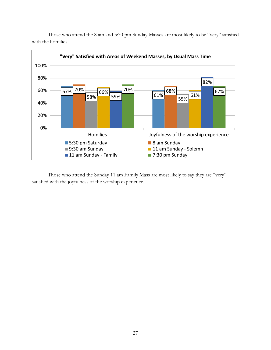

Those who attend the 8 am and 5:30 pm Sunday Masses are most likely to be "very" satisfied with the homilies.

Those who attend the Sunday 11 am Family Mass are most likely to say they are "very" satisfied with the joyfulness of the worship experience.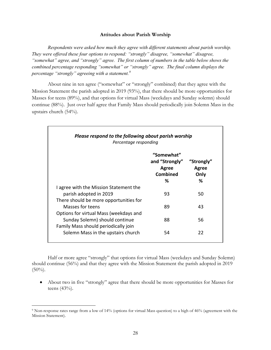#### **Attitudes about Parish Worship**

<span id="page-33-0"></span>*Respondents were asked how much they agree with different statements about parish worship. They were offered these four options to respond: "strongly" disagree, "somewhat" disagree, "somewhat" agree, and "strongly" agree. The first column of numbers in the table below shows the combined percentage responding "somewhat" or "strongly" agree. The final column displays the percentage "strongly" agreeing with a statement.[9](#page-33-1)*

About nine in ten agree ("somewhat" or "strongly" combined) that they agree with the Mission Statement the parish adopted in 2019 (93%), that there should be more opportunities for Masses for teens (89%), and that options for virtual Mass (weekdays and Sunday solemn) should continue (88%). Just over half agree that Family Mass should periodically join Solemn Mass in the upstairs church (54%).

| Please respond to the following about parish worship<br>Percentage responding |                                                               |                                  |
|-------------------------------------------------------------------------------|---------------------------------------------------------------|----------------------------------|
|                                                                               | "Somewhat"<br>and "Strongly"<br>Agree<br><b>Combined</b><br>℅ | "Strongly"<br>Agree<br>Only<br>℅ |
| I agree with the Mission Statement the                                        |                                                               |                                  |
| parish adopted in 2019                                                        | 93                                                            | 50                               |
| There should be more opportunities for                                        |                                                               |                                  |
| Masses for teens                                                              | 89                                                            | 43                               |
| Options for virtual Mass (weekdays and                                        |                                                               |                                  |
| Sunday Solemn) should continue                                                | 88                                                            | 56                               |
| Family Mass should periodically join                                          |                                                               |                                  |
| Solemn Mass in the upstairs church                                            | 54                                                            | 22                               |

Half or more agree "strongly" that options for virtual Mass (weekdays and Sunday Solemn) should continue (56%) and that they agree with the Mission Statement the parish adopted in 2019  $(50\%)$ .

• About two in five "strongly" agree that there should be more opportunities for Masses for teens (43%).

<span id="page-33-1"></span> <sup>9</sup> Non-response rates range from a low of 14% (options for virtual Mass question) to a high of 46% (agreement with the Mission Statement).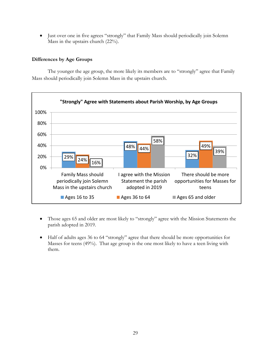• Just over one in five agrees "strongly" that Family Mass should periodically join Solemn Mass in the upstairs church (22%).

## **Differences by Age Groups**

The younger the age group, the more likely its members are to "strongly" agree that Family Mass should periodically join Solemn Mass in the upstairs church.



- Those ages 65 and older are most likely to "strongly" agree with the Mission Statements the parish adopted in 2019.
- Half of adults ages 36 to 64 "strongly" agree that there should be more opportunities for Masses for teens (49%). That age group is the one most likely to have a teen living with them.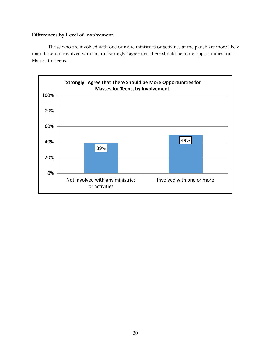## **Differences by Level of Involvement**

Those who are involved with one or more ministries or activities at the parish are more likely than those not involved with any to "strongly" agree that there should be more opportunities for Masses for teens.

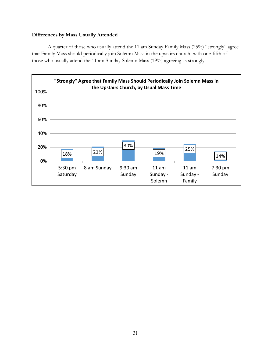## **Differences by Mass Usually Attended**

A quarter of those who usually attend the 11 am Sunday Family Mass (25%) "strongly" agree that Family Mass should periodically join Solemn Mass in the upstairs church, with one-fifth of those who usually attend the 11 am Sunday Solemn Mass (19%) agreeing as strongly.

![](_page_36_Figure_2.jpeg)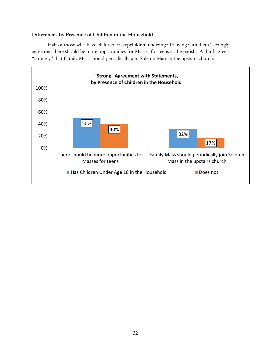#### **Differences by Presence of Children in the Household**

Half of those who have children or stepchildren under age 18 living with them "strongly" agree that there should be more opportunities for Masses for teens at the parish. A third agree "strongly" that Family Mass should periodically join Solemn Mass in the upstairs church.

![](_page_37_Figure_2.jpeg)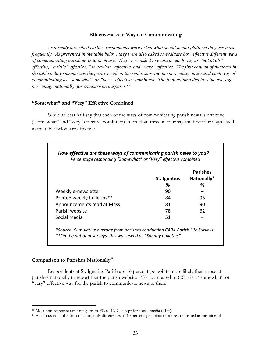#### **Effectiveness of Ways of Communicating**

<span id="page-38-0"></span>*As already described earlier, respondents were asked what social media platform they use most frequently. As presented in the table below, they were also asked to evaluate how effective different ways of communicating parish news to them are. They were asked to evaluate each way as "not at all" effective, "a little" effective, "somewhat" effective, and "very" effective. The first column of numbers in the table below summarizes the positive side of the scale, showing the percentage that rated each way of communicating as "somewhat" or "very" effective" combined. The final column displays the average percentage nationally, for comparison purposes.[10](#page-38-1)*

#### **"Somewhat" and "Very" Effective Combined**

While at least half say that each of the ways of communicating parish news is effective ("somewhat" and "very" effective combined), more than three in four say the first four ways listed in the table below are effective.

|                            | St. Ignatius | <b>Parishes</b><br>Nationally* |
|----------------------------|--------------|--------------------------------|
|                            | %            | ℅                              |
| Weekly e-newsletter        | 90           |                                |
| Printed weekly bulletins** | 84           | 95                             |
| Announcements read at Mass | 81           | 90                             |
| Parish website             | 78           | 62                             |
| Social media               | 51           |                                |

#### **Comparison to Parishes Nationally[11](#page-38-2)**

Respondents at St. Ignatius Parish are 16 percentage points more likely than those at parishes nationally to report that the parish website (78% compared to 62%) is a "somewhat" or "very" effective way for the parish to communicate news to them.

<span id="page-38-1"></span><sup>&</sup>lt;sup>10</sup> Most non-response rates range from  $8\%$  to  $12\%$ , except for social media (21%).

<span id="page-38-2"></span><sup>&</sup>lt;sup>11</sup> As discussed in the Introduction, only differences of 10 percentage points or more are treated as meaningful.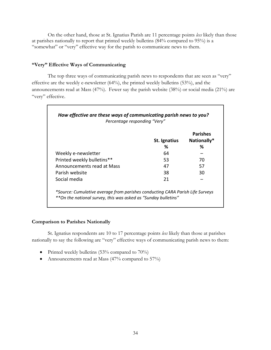On the other hand, those at St. Ignatius Parish are 11 percentage points *less* likely than those at parishes nationally to report that printed weekly bulletins (84% compared to 95%) is a "somewhat" or "very" effective way for the parish to communicate news to them.

#### **"Very" Effective Ways of Communicating**

The top three ways of communicating parish news to respondents that are seen as "very" effective are the weekly e-newsletter (64%), the printed weekly bulletins (53%), and the announcements read at Mass (47%). Fewer say the parish website (38%) or social media (21%) are "very" effective.

|                            |              | <b>Parishes</b> |
|----------------------------|--------------|-----------------|
|                            | St. Ignatius | Nationally*     |
|                            | ℅            | ℅               |
| Weekly e-newsletter        | 64           |                 |
| Printed weekly bulletins** | 53           | 70              |
| Announcements read at Mass | 47           | 57              |
| Parish website             | 38           | 30              |
| Social media               | 21           |                 |

#### **Comparison to Parishes Nationally**

St. Ignatius respondents are 10 to 17 percentage points *less* likely than those at parishes nationally to say the following are "very" effective ways of communicating parish news to them:

- Printed weekly bulletins (53% compared to 70%)
- Announcements read at Mass (47% compared to 57%)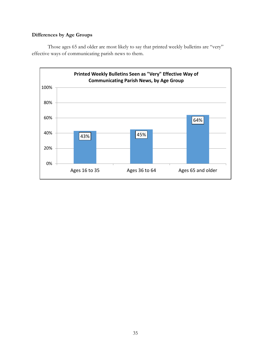## **Differences by Age Groups**

Those ages 65 and older are most likely to say that printed weekly bulletins are "very" effective ways of communicating parish news to them.

![](_page_40_Figure_2.jpeg)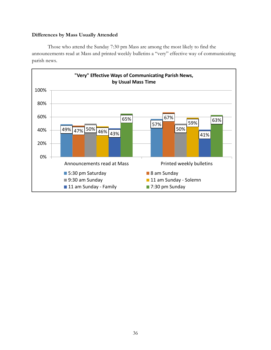#### **Differences by Mass Usually Attended**

Those who attend the Sunday 7:30 pm Mass are among the most likely to find the announcements read at Mass and printed weekly bulletins a "very" effective way of communicating parish news.

![](_page_41_Figure_2.jpeg)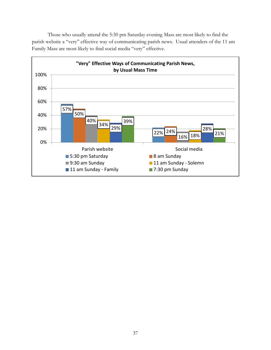Those who usually attend the 5:30 pm Saturday evening Mass are most likely to find the parish website a "very" effective way of communicating parish news. Usual attenders of the 11 am Family Mass are most likely to find social media "very" effective.

![](_page_42_Figure_1.jpeg)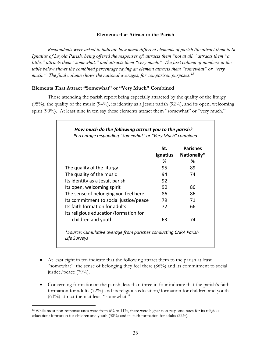#### **Elements that Attract to the Parish**

<span id="page-43-0"></span>*Respondents were asked to indicate how much different elements of parish life attract them to St. Ignatius of Loyola Parish, being offered the responses of: attracts them "not at all," attracts them "a little," attracts them "somewhat," and attracts them "very much." The first column of numbers in the table below shows the combined percentage saying an element attracts them "somewhat" or "very much." The final column shows the national averages, for comparison purposes.[12](#page-43-1)*

#### **Elements That Attract "Somewhat" or "Very Much" Combined**

Those attending the parish report being especially attracted by the quality of the liturgy (95%), the quality of the music (94%), its identity as a Jesuit parish (92%), and its open, welcoming spirit (90%). At least nine in ten say these elements attract them "somewhat" or "very much."

|                                        | St.      | <b>Parishes</b> |
|----------------------------------------|----------|-----------------|
|                                        | Ignatius | Nationally*     |
|                                        | %        | %               |
| The quality of the liturgy             | 95       | 89              |
| The quality of the music               | 94       | 74              |
| Its identity as a Jesuit parish        | 92       |                 |
| Its open, welcoming spirit             | 90       | 86              |
| The sense of belonging you feel here   | 86       | 86              |
| Its commitment to social justice/peace | 79       | 71              |
| Its faith formation for adults         | 72       | 66              |
| Its religious education/formation for  |          |                 |
| children and youth                     | 63       | 74              |

- At least eight in ten indicate that the following attract them to the parish at least "somewhat": the sense of belonging they feel there (86%) and its commitment to social justice/peace (79%).
- Concerning formation at the parish, less than three in four indicate that the parish's faith formation for adults (72%) and its religious education/formation for children and youth (63%) attract them at least "somewhat."

<span id="page-43-1"></span> <sup>12</sup> While most non-response rates were from 6% to 11%, there were higher non-response rates for its religious education/formation for children and youth (30%) and its faith formation for adults (22%).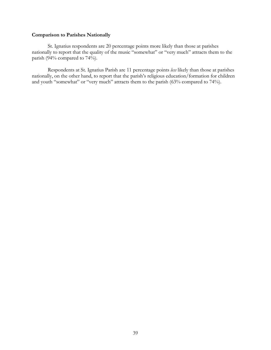#### **Comparison to Parishes Nationally**

St. Ignatius respondents are 20 percentage points more likely than those at parishes nationally to report that the quality of the music "somewhat" or "very much" attracts them to the parish (94% compared to 74%).

Respondents at St. Ignatius Parish are 11 percentage points *less* likely than those at parishes nationally, on the other hand, to report that the parish's religious education/formation for children and youth "somewhat" or "very much" attracts them to the parish (63% compared to 74%).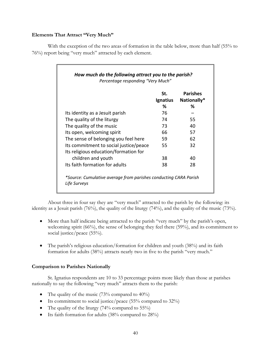### **Elements That Attract "Very Much"**

With the exception of the two areas of formation in the table below, more than half (55% to 76%) report being "very much" attracted by each element.

|                                        | St.<br>Ignatius | <b>Parishes</b><br>Nationally* |
|----------------------------------------|-----------------|--------------------------------|
|                                        | ℅               | %                              |
| Its identity as a Jesuit parish        | 76              |                                |
| The quality of the liturgy             | 74              | 55                             |
| The quality of the music               | 73              | 40                             |
| Its open, welcoming spirit             | 66              | 57                             |
| The sense of belonging you feel here   | 59              | 62                             |
| Its commitment to social justice/peace | 55              | 32                             |
| Its religious education/formation for  |                 |                                |
| children and youth                     | 38              | 40                             |
| Its faith formation for adults         | 38              | 28                             |

About three in four say they are "very much" attracted to the parish by the following: its identity as a Jesuit parish (76%), the quality of the liturgy (74%), and the quality of the music (73%).

- More than half indicate being attracted to the parish "very much" by the parish's open, welcoming spirit (66%), the sense of belonging they feel there (59%), and its commitment to social justice/peace (55%).
- The parish's religious education/formation for children and youth (38%) and its faith formation for adults (38%) attracts nearly two in five to the parish "very much."

## **Comparison to Parishes Nationally**

St. Ignatius respondents are 10 to 33 percentage points more likely than those at parishes nationally to say the following "very much" attracts them to the parish:

- The quality of the music  $(73\%$  compared to  $40\%)$
- Its commitment to social justice/peace (55% compared to 32%)
- The quality of the liturgy  $(74\%$  compared to 55%)
- Its faith formation for adults (38% compared to 28%)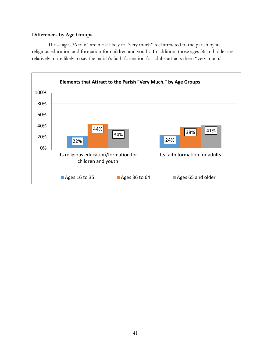## **Differences by Age Groups**

Those ages 36 to 64 are most likely to "very much" feel attracted to the parish by its religious education and formation for children and youth. In addition, those ages 36 and older are relatively more likely to say the parish's faith formation for adults attracts them "very much."

![](_page_46_Figure_2.jpeg)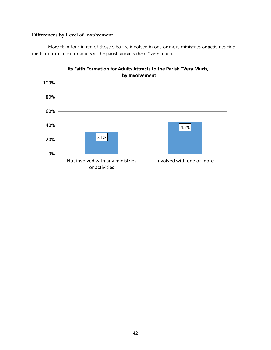## **Differences by Level of Involvement**

More than four in ten of those who are involved in one or more ministries or activities find the faith formation for adults at the parish attracts them "very much."

![](_page_47_Figure_2.jpeg)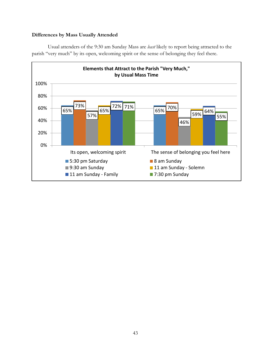#### **Differences by Mass Usually Attended**

![](_page_48_Figure_1.jpeg)

Usual attenders of the 9:30 am Sunday Mass are *least* likely to report being attracted to the parish "very much" by its open, welcoming spirit or the sense of belonging they feel there.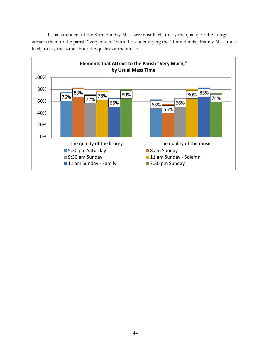Usual attenders of the 8 am Sunday Mass are most likely to say the quality of the liturgy attracts them to the parish "very much," with those identifying the 11 am Sunday Family Mass most likely to say the same about the quality of the music.

![](_page_49_Figure_1.jpeg)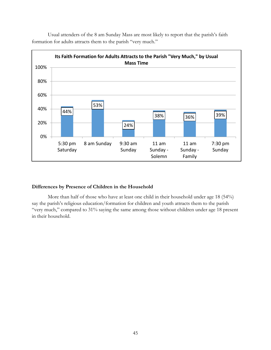![](_page_50_Figure_0.jpeg)

Usual attenders of the 8 am Sunday Mass are most likely to report that the parish's faith formation for adults attracts them to the parish "very much."

#### **Differences by Presence of Children in the Household**

More than half of those who have at least one child in their household under age 18 (54%) say the parish's religious education/formation for children and youth attracts them to the parish "very much," compared to 31% saying the same among those without children under age 18 present in their household.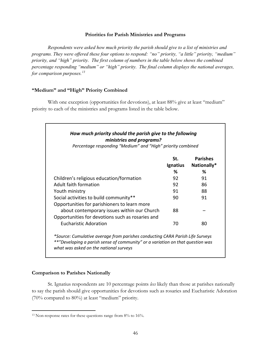#### **Priorities for Parish Ministries and Programs**

<span id="page-51-0"></span>*Respondents were asked how much priority the parish should give to a list of ministries and programs. They were offered these four options to respond: "no" priority, "a little" priority, "medium" priority, and "high" priority. The first column of numbers in the table below shows the combined percentage responding "medium" or "high" priority. The final column displays the national averages, for comparison purposes.[13](#page-51-1)*

#### **"Medium" and "High" Priority Combined**

With one exception (opportunities for devotions), at least 88% give at least "medium" priority to each of the ministries and programs listed in the table below.

| How much priority should the parish give to the following<br>ministries and programs?<br>Percentage responding "Medium" and "High" priority combined |                      |                                     |
|------------------------------------------------------------------------------------------------------------------------------------------------------|----------------------|-------------------------------------|
|                                                                                                                                                      | St.<br>Ignatius<br>℅ | <b>Parishes</b><br>Nationally*<br>% |
| Children's religious education/formation                                                                                                             | 92                   | 91                                  |
| Adult faith formation                                                                                                                                | 92                   | 86                                  |
| Youth ministry                                                                                                                                       | 91                   | 88                                  |
| Social activities to build community**<br>Opportunities for parishioners to learn more                                                               | 90                   | 91                                  |
| about contemporary issues within our Church<br>Opportunities for devotions such as rosaries and                                                      | 88                   |                                     |
| Eucharistic Adoration                                                                                                                                | 70                   | 80                                  |

*\*Source: Cumulative average from parishes conducting CARA Parish Life Surveys \*\*"Developing a parish sense of community" or a variation on that question was what was asked on the national surveys*

#### **Comparison to Parishes Nationally**

St. Ignatius respondents are 10 percentage points *less* likely than those at parishes nationally to say the parish should give opportunities for devotions such as rosaries and Eucharistic Adoration (70% compared to 80%) at least "medium" priority.

<span id="page-51-1"></span><sup>&</sup>lt;sup>13</sup> Non-response rates for these questions range from 8% to 16%.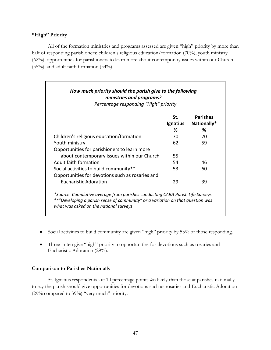#### **"High" Priority**

All of the formation ministries and programs assessed are given "high" priority by more than half of responding parishioners: children's religious education/formation (70%), youth ministry (62%), opportunities for parishioners to learn more about contemporary issues within our Church (55%), and adult faith formation (54%).

| How much priority should the parish give to the following<br>ministries and programs?<br>Percentage responding "High" priority                                                                            |                 |                                |
|-----------------------------------------------------------------------------------------------------------------------------------------------------------------------------------------------------------|-----------------|--------------------------------|
|                                                                                                                                                                                                           | St.<br>Ignatius | <b>Parishes</b><br>Nationally* |
|                                                                                                                                                                                                           | %               | %                              |
| Children's religious education/formation                                                                                                                                                                  | 70              | 70                             |
| Youth ministry<br>Opportunities for parishioners to learn more                                                                                                                                            | 62              | 59                             |
| about contemporary issues within our Church                                                                                                                                                               | 55              |                                |
| Adult faith formation                                                                                                                                                                                     | 54              | 46                             |
| Social activities to build community**<br>Opportunities for devotions such as rosaries and                                                                                                                | 53              | 60                             |
| Eucharistic Adoration                                                                                                                                                                                     | 29              | 39                             |
| *Source: Cumulative average from parishes conducting CARA Parish Life Surveys<br>**"Developing a parish sense of community" or a variation on that question was<br>what was asked on the national surveys |                 |                                |

- Social activities to build community are given "high" priority by 53% of those responding.
- Three in ten give "high" priority to opportunities for devotions such as rosaries and Eucharistic Adoration (29%).

## **Comparison to Parishes Nationally**

St. Ignatius respondents are 10 percentage points *less* likely than those at parishes nationally to say the parish should give opportunities for devotions such as rosaries and Eucharistic Adoration (29% compared to 39%) "very much" priority.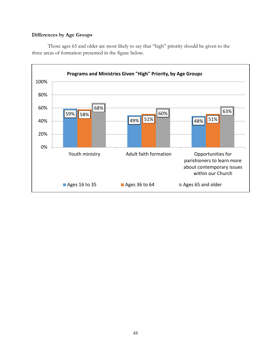## **Differences by Age Groups**

![](_page_53_Figure_1.jpeg)

![](_page_53_Figure_2.jpeg)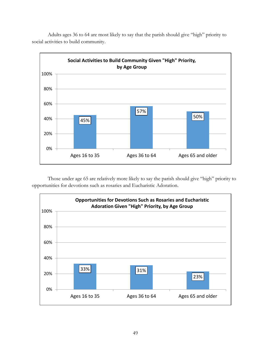![](_page_54_Figure_0.jpeg)

Adults ages 36 to 64 are most likely to say that the parish should give "high" priority to social activities to build community.

Those under age 65 are relatively more likely to say the parish should give "high" priority to opportunities for devotions such as rosaries and Eucharistic Adoration.

![](_page_54_Figure_3.jpeg)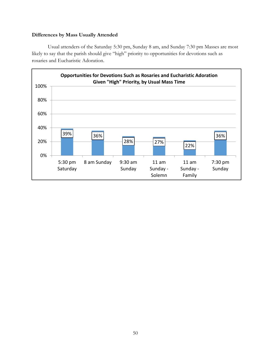## **Differences by Mass Usually Attended**

Usual attenders of the Saturday 5:30 pm, Sunday 8 am, and Sunday 7:30 pm Masses are most likely to say that the parish should give "high" priority to opportunities for devotions such as rosaries and Eucharistic Adoration.

![](_page_55_Figure_2.jpeg)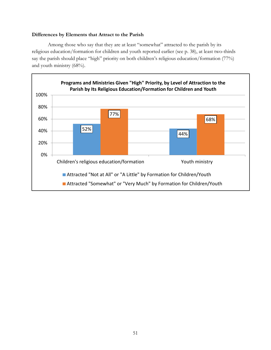#### **Differences by Elements that Attract to the Parish**

Among those who say that they are at least "somewhat" attracted to the parish by its religious education/formation for children and youth reported earlier (see p. 38), at least two-thirds say the parish should place "high" priority on both children's religious education/formation (77%) and youth ministry (68%).

![](_page_56_Figure_2.jpeg)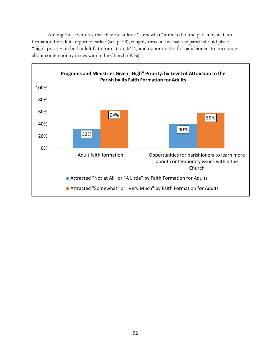Among those who say that they are at least "somewhat" attracted to the parish by its faith formation for adults reported earlier (see p. 38), roughly three in five say the parish should place "high" priority on both adult faith formation (64%) and opportunities for parishioners to learn more about contemporary issues within the Church (59%).

![](_page_57_Figure_1.jpeg)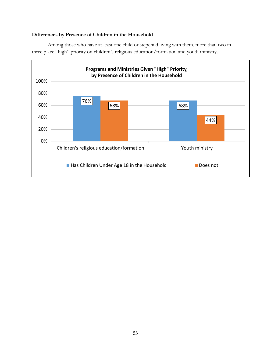## **Differences by Presence of Children in the Household**

Among those who have at least one child or stepchild living with them, more than two in three place "high" priority on children's religious education/formation and youth ministry.

![](_page_58_Figure_2.jpeg)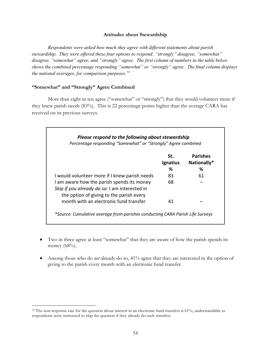#### **Attitudes about Stewardship**

<span id="page-59-0"></span>*Respondents were asked how much they agree with different statements about parish stewardship. They were offered these four options to respond: "strongly" disagree, "somewhat" disagree, "somewhat" agree, and "strongly" agree. The first column of numbers in the table below shows the combined percentage responding "somewhat" or "strongly" agree. The final column displays the national averages, for comparison purposes.[14](#page-59-1)*

#### **"Somewhat" and "Strongly" Agree Combined**

More than eight in ten agree ("somewhat" or "strongly") that they would volunteer more if they knew parish needs (83%). This is 22 percentage points higher than the average CARA has received on its previous surveys.

|                                                                                                                                         | St.      | <b>Parishes</b> |
|-----------------------------------------------------------------------------------------------------------------------------------------|----------|-----------------|
|                                                                                                                                         | Ignatius | Nationally*     |
|                                                                                                                                         | ℅        | ℅               |
| I would volunteer more if I knew parish needs                                                                                           | 83       | 61              |
| I am aware how the parish spends its money<br>Skip if you already do so: I am interested in<br>the option of giving to the parish every | 68       |                 |
| month with an electronic fund transfer                                                                                                  | 41       |                 |

- Two in three agree at least "somewhat" that they are aware of how the parish spends its money (68%).
- Among those who do *not* already do so, 41% agree that they are interested in the option of giving to the parish every month with an electronic fund transfer.

<span id="page-59-1"></span><sup>&</sup>lt;sup>14</sup> The non-response rate for the question about interest in an electronic fund transfers is 61%, understandable as respondents were instructed to skip the question if they already do such transfers.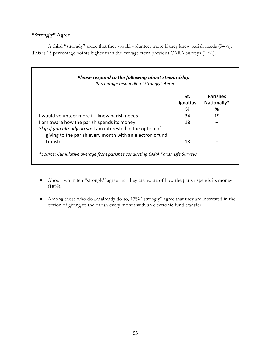## **"Strongly" Agree**

A third "strongly" agree that they would volunteer more if they knew parish needs (34%). This is 15 percentage points higher than the average from previous CARA surveys (19%).

| Please respond to the following about stewardship<br>Percentage responding "Strongly" Agree                                                                           |                      |                                     |
|-----------------------------------------------------------------------------------------------------------------------------------------------------------------------|----------------------|-------------------------------------|
|                                                                                                                                                                       | St.<br>Ignatius<br>% | <b>Parishes</b><br>Nationally*<br>℅ |
| I would volunteer more if I knew parish needs                                                                                                                         | 34                   | 19                                  |
| I am aware how the parish spends its money<br>Skip if you already do so: I am interested in the option of<br>giving to the parish every month with an electronic fund | 18                   |                                     |
| transfer<br>*Source: Cumulative average from parishes conducting CARA Parish Life Surveys                                                                             | 13                   |                                     |

- About two in ten "strongly" agree that they are aware of how the parish spends its money  $(18\%)$ .
- Among those who do *not* already do so, 13% "strongly" agree that they are interested in the option of giving to the parish every month with an electronic fund transfer.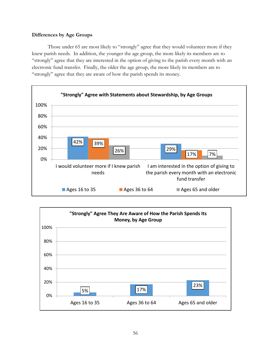### **Differences by Age Groups**

Those under 65 are most likely to "strongly" agree that they would volunteer more if they knew parish needs. In addition, the younger the age group, the more likely its members are to "strongly" agree that they are interested in the option of giving to the parish every month with an electronic fund transfer. Finally, the older the age group, the more likely its members are to "strongly" agree that they are aware of how the parish spends its money.

![](_page_61_Figure_2.jpeg)

![](_page_61_Figure_3.jpeg)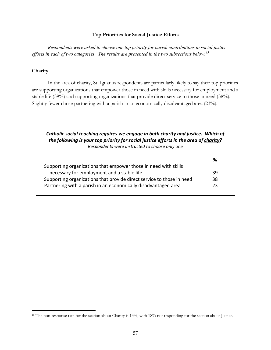#### **Top Priorities for Social Justice Efforts**

<span id="page-62-0"></span>*Respondents were asked to choose one top priority for parish contributions to social justice efforts in each of two categories. The results are presented in the two subsections below.[15](#page-62-1)* 

## **Charity**

In the area of charity, St. Ignatius respondents are particularly likely to say their top priorities are supporting organizations that empower those in need with skills necessary for employment and a stable life (39%) and supporting organizations that provide direct service to those in need (38%). Slightly fewer chose partnering with a parish in an economically disadvantaged area (23%).

| the following is your top priority for social justice efforts in the area of charity? |    |
|---------------------------------------------------------------------------------------|----|
| Respondents were instructed to choose only one                                        |    |
|                                                                                       | %  |
| Supporting organizations that empower those in need with skills                       |    |
| necessary for employment and a stable life                                            | 39 |
| Supporting organizations that provide direct service to those in need                 | 38 |
| Partnering with a parish in an economically disadvantaged area                        | 23 |

<span id="page-62-1"></span><sup>&</sup>lt;sup>15</sup> The non-response rate for the section about Charity is 13%, with 18% not responding for the section about Justice.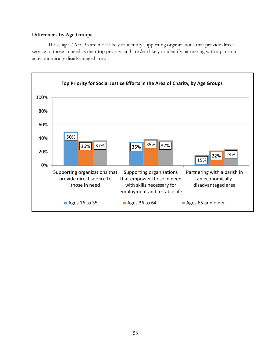#### **Differences by Age Groups**

Those ages 16 to 35 are most likely to identify supporting organizations that provide direct service to those in need as their top priority, and are *least* likely to identify partnering with a parish in an economically disadvantaged area.

![](_page_63_Figure_2.jpeg)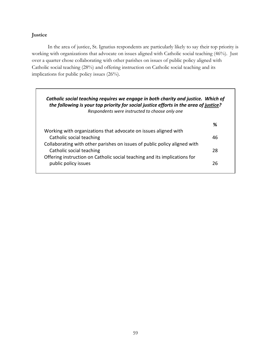## **Justice**

In the area of justice, St. Ignatius respondents are particularly likely to say their top priority is working with organizations that advocate on issues aligned with Catholic social teaching (46%). Just over a quarter chose collaborating with other parishes on issues of public policy aligned with Catholic social teaching (28%) and offering instruction on Catholic social teaching and its implications for public policy issues (26%).

| Catholic social teaching requires we engage in both charity and justice. Which of<br>the following is your top priority for social justice efforts in the area of justice?<br>Respondents were instructed to choose only one |    |
|------------------------------------------------------------------------------------------------------------------------------------------------------------------------------------------------------------------------------|----|
|                                                                                                                                                                                                                              | %  |
| Working with organizations that advocate on issues aligned with                                                                                                                                                              |    |
| Catholic social teaching                                                                                                                                                                                                     | 46 |
| Collaborating with other parishes on issues of public policy aligned with                                                                                                                                                    |    |
| Catholic social teaching                                                                                                                                                                                                     | 28 |
| Offering instruction on Catholic social teaching and its implications for                                                                                                                                                    |    |
| public policy issues                                                                                                                                                                                                         | 26 |
|                                                                                                                                                                                                                              |    |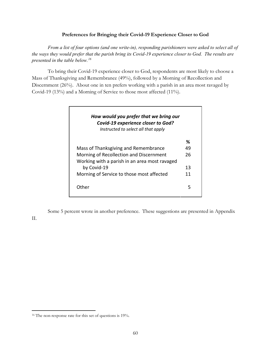#### **Preferences for Bringing their Covid-19 Experience Closer to God**

<span id="page-65-0"></span>*From a list of four options (and one write-in), responding parishioners were asked to select all of the ways they would prefer that the parish bring its Covid-19 experience closer to God. The results are presented in the table below.[16](#page-65-1)*

To bring their Covid-19 experience closer to God, respondents are most likely to choose a Mass of Thanksgiving and Remembrance (49%), followed by a Morning of Recollection and Discernment (26%). About one in ten prefers working with a parish in an area most ravaged by Covid-19 (13%) and a Morning of Service to those most affected (11%).

| Covid-19 experience closer to God?<br>Instructed to select all that apply                |    |
|------------------------------------------------------------------------------------------|----|
|                                                                                          | ℅  |
| Mass of Thanksgiving and Remembrance                                                     | 49 |
| Morning of Recollection and Discernment<br>Working with a parish in an area most ravaged | 26 |
| by Covid-19                                                                              | 13 |
| Morning of Service to those most affected                                                | 11 |
| ∩ther                                                                                    | 5  |

Some 5 percent wrote in another preference. These suggestions are presented in Appendix

II.

<span id="page-65-1"></span><sup>16</sup> The non-response rate for this set of questions is 19%.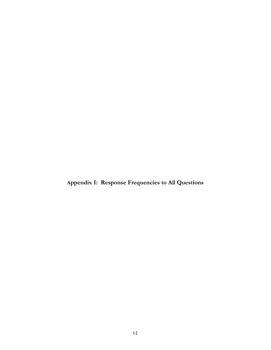<span id="page-66-0"></span>**Appendix I: Response Frequencies to All Questions**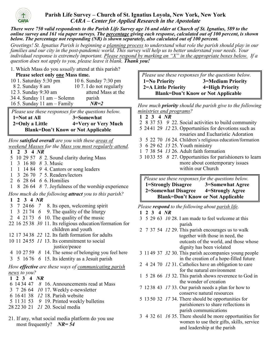![](_page_67_Picture_0.jpeg)

## **Parish Life Survey – Church of St. Ignatius Loyola, New York, New York**  *CARA* **–** *Center for Applied Research in the Apostolate*

*There were 750 valid respondents to the Parish Life Survey age 16 and older at Church of St. Ignatius, 589 to the online survey and 161 via paper surveys. The percentage giving each response, calculated out of 100 percent, is shown below. The percentage not responding (NR) is shown separately, also calculated out of 100 percent.* 

*Greetings! St. Ignatius Parish is beginning a planning process to understand what role the parish should play in our*  families and our city in the post-pandemic world. This survey will help us to better understand your needs. Your *individual response is extremely important. Please respond by marking an "X" in the appropriate boxes below. If a question does not apply to you, please leave it blank. Thank you!* 

1. Which Mass do you *usually* attend at this parish? **Please select only one Mass time.**

| 10 1. Saturday 5:30 pm        | 10 6. Sunday 7:30 pm     |
|-------------------------------|--------------------------|
| 8 2. Sunday 8 am              | 10 7. I do not regularly |
| 12 3. Sunday 9:30 am          | attend Mass at the       |
| 34 4. Sunday 11 am - Solemn   | parish                   |
| 16 5. Sunday 11 am $-$ Family | $NR=2$                   |
|                               |                          |

 *Please use these responses for the questions below.*  **1=Not at All 3=Somewhat 2=Only a Little 4=Very or Very Much Blank=Don't Know or Not Applicable** 

*How satisfied overall are you with these areas of weekend Masses for the Mass you most regularly attend.*

- **1 2 3 4** *NR*
- 5 10 29 57 *8* 2. Sound clarity during Mass
- 1 3 16 80 *8* 3. Music
- 1 1 14 84 *9* 4. Cantors or song leaders
- 1 3 26 70 *7* 5. Readers/lectors
- 2 6 28 64 *6* 6. Homilies
- 1 8 26 64 *8* 7. Joyfulness of the worship experience

*How much do the following attract you to this parish?*

- **1 2 3 4** *NR*
- 3 7 24 66 *7* 8. Its open, welcoming spirit
- 1 3 21 74 *6* 9. The quality of the liturgy
- 2 4 21 73 *6* 10. The quality of the music
- 22 16 25 38 *30* 11. Its religious education/formation for children and youth
- 12 17 34 38 *22* 12. Its faith formation for adults
- 10 11 24 55 *11* 13. Its commitment to social justice/peace
- 4 10 27 59 *8* 14. The sense of belonging you feel here
- 3 5 16 76 *6* 15. Its identity as a Jesuit parish

# *How effective are these ways of communicating parish news to you?*

- **1 2 3 4** *NR*
- 6 14 34 47 *8* 16. Announcements read at Mass
- 3 7 26 64 *10* 17. Weekly e-newsletter
- 6 16 41 38 *12* 18. Parish website
- 5 11 31 53 *9* 19. Printed weekly bulletins
- 28 22 30 21 *21* 20. Social media
- 21. If any, what social media platform do you use most frequently? *NR= 54*

 *Please use these responses for the questions below.*  **1=No Priority 3=Medium Priority 2=A Little Priority 4=High Priority Blank=Don't Know or Not Applicable** 

*How much priority should the parish give to the following ministries and programs?*

|  |  | $1 \t2 \t3 \t4 \t NR$ |                                                           |
|--|--|-----------------------|-----------------------------------------------------------|
|  |  |                       | 2 8 37 53 9 22. Social activities to build community      |
|  |  |                       | 5 2441 29 12 23. Opportunities for devotions such as      |
|  |  |                       | rosaries and Eucharistic Adoration                        |
|  |  |                       | 3 5 22 70 16 24. Children's religious education/formation |
|  |  |                       | 3 6 29 62 15 25. Youth ministry                           |
|  |  |                       | 1 7 38 54 13 26. Adult faith formation                    |
|  |  |                       | 3 1033 55 8 27. Opportunities for parishioners to learn   |
|  |  |                       | more about contemporary issues                            |
|  |  |                       | within our Church                                         |

*Please use these responses for the questions below.*  **1=Strongly Disagree 3=Somewhat Agree 2=Somewhat Disagree 4=Strongly Agree Blank=Don't Know or Not Applicable** 

*Please respond to the following about parish life.*

- **1 2 3 4** *NR*
- 3 5 29 63 *10* 28. I am made to feel welcome at this parish
- 2 7 37 54 *12* 29. This parish encourages us to walk together with those in need, the outcasts of the world, and those whose dignity has been violated
- 3 11 49 37 *32* 30. This parish accompanies young people in the creation of a hope-filled future
- 2 4 24 70 *12* 31. Catholics have an obligation to care for the natural environment
- 1 5 28 66 *15* 32. This parish shows reverence to God in the wonder of creation
- 7 12 38 43 *17* 33. Our parish needs a plan for how to conserve natural resources
- 5 13 50 32 *17* 34. There should be opportunities for parishioners to share reflections in parish communications
- 3 4 32 61 *16* 35. There should be more opportunities for women to use their gifts, skills, service and leadership at the parish